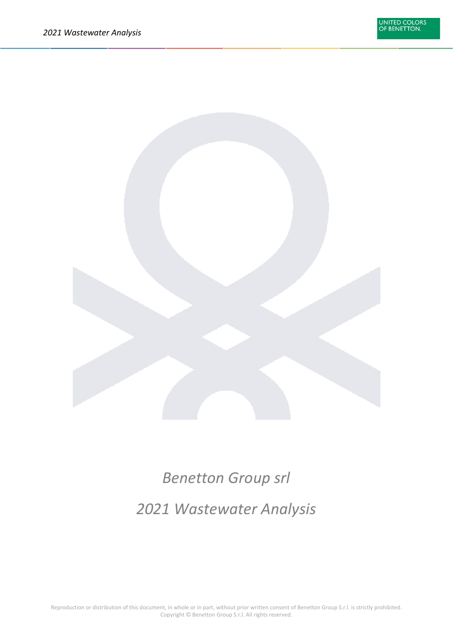

# *Benetton Group srl*

## *2021 Wastewater Analysis*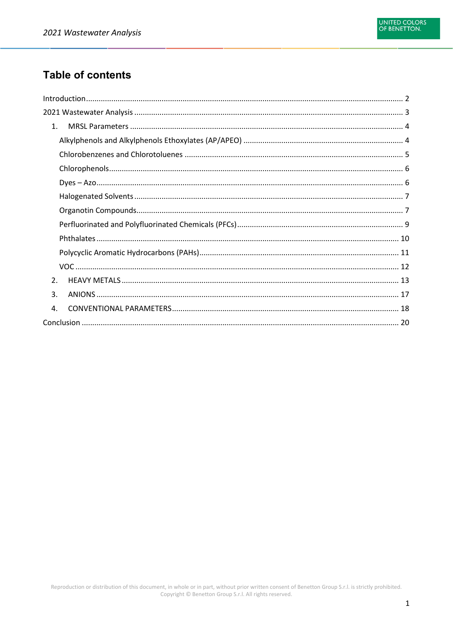### **Table of contents**

| 1.               |  |  |
|------------------|--|--|
|                  |  |  |
|                  |  |  |
|                  |  |  |
|                  |  |  |
|                  |  |  |
|                  |  |  |
|                  |  |  |
|                  |  |  |
|                  |  |  |
|                  |  |  |
| $\overline{2}$ . |  |  |
| 3.               |  |  |
| 4.               |  |  |
|                  |  |  |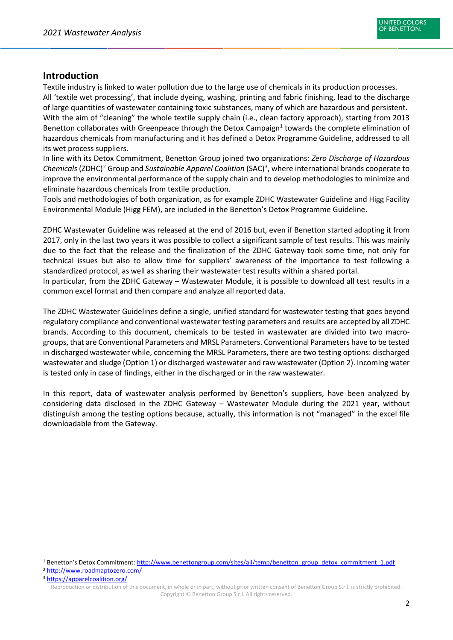#### <span id="page-2-0"></span>**Introduction**

Textile industry is linked to water pollution due to the large use of chemicals in its production processes. All 'textile wet processing', that include dyeing, washing, printing and fabric finishing, lead to the discharge of large quantities of wastewater containing toxic substances, many of which are hazardous and persistent. With the aim of "cleaning" the whole textile supply chain (i.e., clean factory approach), starting from 2013 Benetton collaborates with Greenpeace through the Detox Campaign<sup>[1](#page-2-1)</sup> towards the complete elimination of hazardous chemicals from manufacturing and it has defined a Detox Programme Guideline, addressed to all its wet process suppliers.

In line with its Detox Commitment, Benetton Group joined two organizations: *Zero Discharge of Hazardous Chemicals* (ZDHC)[2](#page-2-2) Group and *Sustainable Apparel Coalition* (SAC)[3](#page-2-3) , where international brands cooperate to improve the environmental performance of the supply chain and to develop methodologies to minimize and eliminate hazardous chemicals from textile production.

Tools and methodologies of both organization, as for example ZDHC Wastewater Guideline and Higg Facility Environmental Module (Higg FEM), are included in the Benetton's Detox Programme Guideline.

ZDHC Wastewater Guideline was released at the end of 2016 but, even if Benetton started adopting it from 2017, only in the last two years it was possible to collect a significant sample of test results. This was mainly due to the fact that the release and the finalization of the ZDHC Gateway took some time, not only for technical issues but also to allow time for suppliers' awareness of the importance to test following a standardized protocol, as well as sharing their wastewater test results within a shared portal.

In particular, from the ZDHC Gateway – Wastewater Module, it is possible to download all test results in a common excel format and then compare and analyze all reported data.

The ZDHC Wastewater Guidelines define a single, unified standard for wastewater testing that goes beyond regulatory compliance and conventional wastewater testing parameters and results are accepted by all ZDHC brands. According to this document, chemicals to be tested in wastewater are divided into two macrogroups, that are Conventional Parameters and MRSL Parameters. Conventional Parameters have to be tested in discharged wastewater while, concerning the MRSL Parameters, there are two testing options: discharged wastewater and sludge (Option 1) or discharged wastewater and raw wastewater (Option 2). Incoming water is tested only in case of findings, either in the discharged or in the raw wastewater.

In this report, data of wastewater analysis performed by Benetton's suppliers, have been analyzed by considering data disclosed in the ZDHC Gateway – Wastewater Module during the 2021 year, without distinguish among the testing options because, actually, this information is not "managed" in the excel file downloadable from the Gateway.

<span id="page-2-2"></span><sup>2</sup> <http://www.roadmaptozero.com/>

<span id="page-2-1"></span><sup>1</sup> Benetton's Detox Commitment: [http://www.benettongroup.com/sites/all/temp/benetton\\_group\\_detox\\_commitment\\_1.pdf](http://www.benettongroup.com/sites/all/temp/benetton_group_detox_commitment_1.pdf)

<span id="page-2-3"></span>Reproduction or distribution of this document, in whole or in part, without prior written consent of Benetton Group S.r.l. is strictly prohibited. Copyright © Benetton Group S.r.l. All rights reserved. <sup>3</sup> <https://apparelcoalition.org/>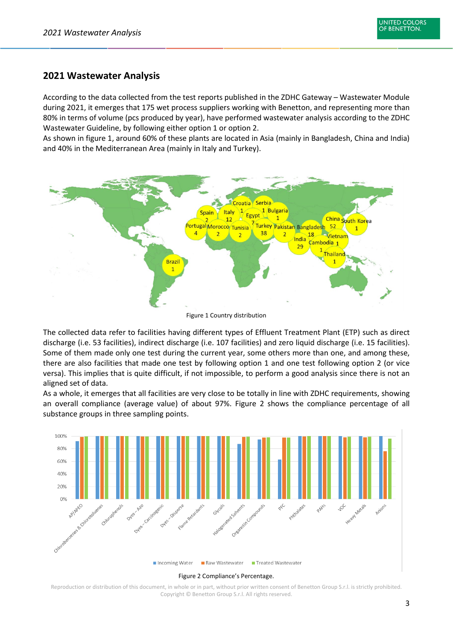#### <span id="page-3-0"></span>**2021 Wastewater Analysis**

According to the data collected from the test reports published in the ZDHC Gateway – Wastewater Module during 2021, it emerges that 175 wet process suppliers working with Benetton, and representing more than 80% in terms of volume (pcs produced by year), have performed wastewater analysis according to the ZDHC Wastewater Guideline, by following either option 1 or option 2.

As shown in figure 1, around 60% of these plants are located in Asia (mainly in Bangladesh, China and India) and 40% in the Mediterranean Area (mainly in Italy and Turkey).



Figure 1 Country distribution

The collected data refer to facilities having different types of Effluent Treatment Plant (ETP) such as direct discharge (i.e. 53 facilities), indirect discharge (i.e. 107 facilities) and zero liquid discharge (i.e. 15 facilities). Some of them made only one test during the current year, some others more than one, and among these, there are also facilities that made one test by following option 1 and one test following option 2 (or vice versa). This implies that is quite difficult, if not impossible, to perform a good analysis since there is not an aligned set of data.

As a whole, it emerges that all facilities are very close to be totally in line with ZDHC requirements, showing an overall compliance (average value) of about 97%. Figure 2 shows the compliance percentage of all substance groups in three sampling points.

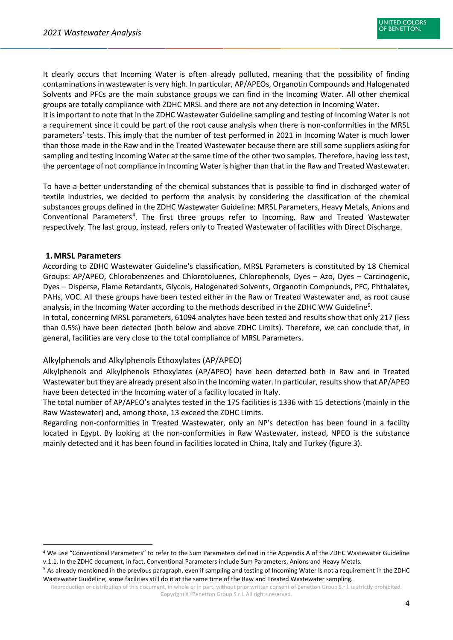It clearly occurs that Incoming Water is often already polluted, meaning that the possibility of finding contaminations in wastewater is very high. In particular, AP/APEOs, Organotin Compounds and Halogenated Solvents and PFCs are the main substance groups we can find in the Incoming Water. All other chemical groups are totally compliance with ZDHC MRSL and there are not any detection in Incoming Water. It is important to note that in the ZDHC Wastewater Guideline sampling and testing of Incoming Water is not a requirement since it could be part of the root cause analysis when there is non-conformities in the MRSL parameters' tests. This imply that the number of test performed in 2021 in Incoming Water is much lower than those made in the Raw and in the Treated Wastewater because there are still some suppliers asking for sampling and testing Incoming Water at the same time of the other two samples. Therefore, having less test, the percentage of not compliance in Incoming Water is higher than that in the Raw and Treated Wastewater.

To have a better understanding of the chemical substances that is possible to find in discharged water of textile industries, we decided to perform the analysis by considering the classification of the chemical substances groups defined in the ZDHC Wastewater Guideline: MRSL Parameters, Heavy Metals, Anions and Conventional Parameters<sup>[4](#page-4-2)</sup>. The first three groups refer to Incoming, Raw and Treated Wastewater respectively. The last group, instead, refers only to Treated Wastewater of facilities with Direct Discharge.

#### <span id="page-4-0"></span>**1.MRSL Parameters**

According to ZDHC Wastewater Guideline's classification, MRSL Parameters is constituted by 18 Chemical Groups: AP/APEO, Chlorobenzenes and Chlorotoluenes, Chlorophenols, Dyes – Azo, Dyes – Carcinogenic, Dyes – Disperse, Flame Retardants, Glycols, Halogenated Solvents, Organotin Compounds, PFC, Phthalates, PAHs, VOC. All these groups have been tested either in the Raw or Treated Wastewater and, as root cause analysis, in the Incoming Water according to the methods described in the ZDHC WW Guideline<sup>[5](#page-4-3)</sup>.

In total, concerning MRSL parameters, 61094 analytes have been tested and results show that only 217 (less than 0.5%) have been detected (both below and above ZDHC Limits). Therefore, we can conclude that, in general, facilities are very close to the total compliance of MRSL Parameters.

#### <span id="page-4-1"></span>Alkylphenols and Alkylphenols Ethoxylates (AP/APEO)

Alkylphenols and Alkylphenols Ethoxylates (AP/APEO) have been detected both in Raw and in Treated Wastewater but they are already present also in the Incoming water. In particular, results show that AP/APEO have been detected in the Incoming water of a facility located in Italy.

The total number of AP/APEO's analytes tested in the 175 facilities is 1336 with 15 detections (mainly in the Raw Wastewater) and, among those, 13 exceed the ZDHC Limits.

Regarding non-conformities in Treated Wastewater, only an NP's detection has been found in a facility located in Egypt. By looking at the non-conformities in Raw Wastewater, instead, NPEO is the substance mainly detected and it has been found in facilities located in China, Italy and Turkey (figure 3).

<span id="page-4-2"></span> <sup>4</sup> We use "Conventional Parameters" to refer to the Sum Parameters defined in the Appendix A of the ZDHC Wastewater Guideline v.1.1. In the ZDHC document, in fact, Conventional Parameters include Sum Parameters, Anions and Heavy Metals.

<span id="page-4-3"></span><sup>&</sup>lt;sup>5</sup> As already mentioned in the previous paragraph, even if sampling and testing of Incoming Water is not a requirement in the ZDHC Wastewater Guideline, some facilities still do it at the same time of the Raw and Treated Wastewater sampling.

Reproduction or distribution of this document, in whole or in part, without prior written consent of Benetton Group S.r.l. is strictly prohibited. Copyright © Benetton Group S.r.l. All rights reserved.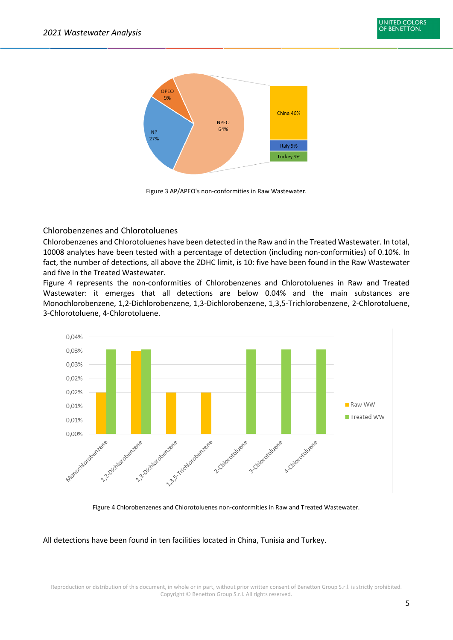

Figure 3 AP/APEO's non-conformities in Raw Wastewater.

<span id="page-5-0"></span>Chlorobenzenes and Chlorotoluenes

Chlorobenzenes and Chlorotoluenes have been detected in the Raw and in the Treated Wastewater. In total, 10008 analytes have been tested with a percentage of detection (including non-conformities) of 0.10%. In fact, the number of detections, all above the ZDHC limit, is 10: five have been found in the Raw Wastewater and five in the Treated Wastewater.

Figure 4 represents the non-conformities of Chlorobenzenes and Chlorotoluenes in Raw and Treated Wastewater: it emerges that all detections are below 0.04% and the main substances are Monochlorobenzene, 1,2-Dichlorobenzene, 1,3-Dichlorobenzene, 1,3,5-Trichlorobenzene, 2-Chlorotoluene, 3-Chlorotoluene, 4-Chlorotoluene.



Figure 4 Chlorobenzenes and Chlorotoluenes non-conformities in Raw and Treated Wastewater.

All detections have been found in ten facilities located in China, Tunisia and Turkey.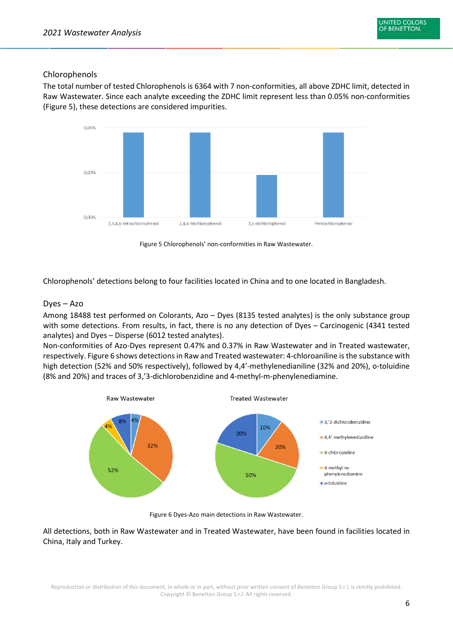#### <span id="page-6-0"></span>Chlorophenols

The total number of tested Chlorophenols is 6364 with 7 non-conformities, all above ZDHC limit, detected in Raw Wastewater. Since each analyte exceeding the ZDHC limit represent less than 0.05% non-conformities (Figure 5), these detections are considered impurities.



Figure 5 Chlorophenols' non-conformities in Raw Wastewater.

Chlorophenols' detections belong to four facilities located in China and to one located in Bangladesh.

#### <span id="page-6-1"></span>Dyes – Azo

Among 18488 test performed on Colorants, Azo – Dyes (8135 tested analytes) is the only substance group with some detections. From results, in fact, there is no any detection of Dyes – Carcinogenic (4341 tested analytes) and Dyes – Disperse (6012 tested analytes).

Non-conformities of Azo-Dyes represent 0.47% and 0.37% in Raw Wastewater and in Treated wastewater, respectively. Figure 6 shows detections in Raw and Treated wastewater: 4-chloroaniline is the substance with high detection (52% and 50% respectively), followed by 4,4'-methylenedianiline (32% and 20%), o-toluidine (8% and 20%) and traces of 3,'3-dichlorobenzidine and 4-methyl-m-phenylenediamine.



Figure 6 Dyes-Azo main detections in Raw Wastewater.

All detections, both in Raw Wastewater and in Treated Wastewater, have been found in facilities located in China, Italy and Turkey.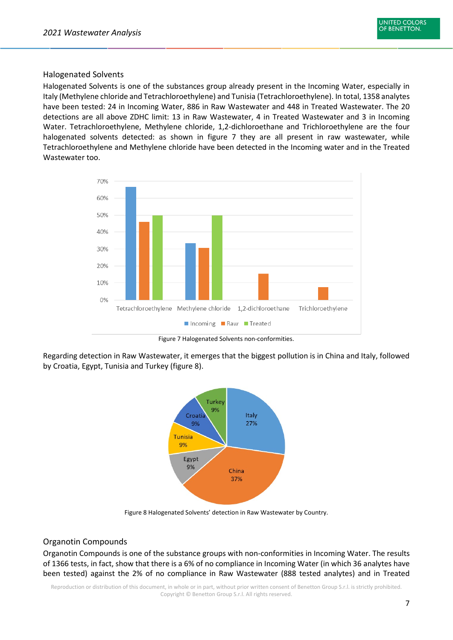#### <span id="page-7-0"></span>Halogenated Solvents

Halogenated Solvents is one of the substances group already present in the Incoming Water, especially in Italy (Methylene chloride and Tetrachloroethylene) and Tunisia (Tetrachloroethylene). In total, 1358 analytes have been tested: 24 in Incoming Water, 886 in Raw Wastewater and 448 in Treated Wastewater. The 20 detections are all above ZDHC limit: 13 in Raw Wastewater, 4 in Treated Wastewater and 3 in Incoming Water. Tetrachloroethylene, Methylene chloride, 1,2-dichloroethane and Trichloroethylene are the four halogenated solvents detected: as shown in figure 7 they are all present in raw wastewater, while Tetrachloroethylene and Methylene chloride have been detected in the Incoming water and in the Treated Wastewater too.



Figure 7 Halogenated Solvents non-conformities.

Regarding detection in Raw Wastewater, it emerges that the biggest pollution is in China and Italy, followed by Croatia, Egypt, Tunisia and Turkey (figure 8).



Figure 8 Halogenated Solvents' detection in Raw Wastewater by Country.

#### <span id="page-7-1"></span>Organotin Compounds

Organotin Compounds is one of the substance groups with non-conformities in Incoming Water. The results of 1366 tests, in fact, show that there is a 6% of no compliance in Incoming Water (in which 36 analytes have been tested) against the 2% of no compliance in Raw Wastewater (888 tested analytes) and in Treated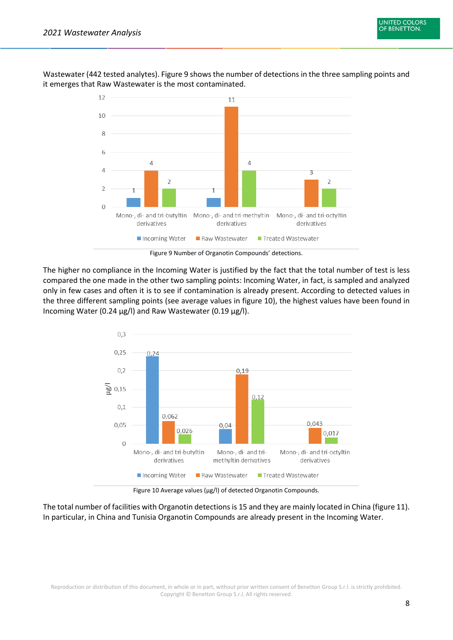

Wastewater (442 tested analytes). Figure 9 shows the number of detections in the three sampling points and it emerges that Raw Wastewater is the most contaminated.

Figure 9 Number of Organotin Compounds' detections.

The higher no compliance in the Incoming Water is justified by the fact that the total number of test is less compared the one made in the other two sampling points: Incoming Water, in fact, is sampled and analyzed only in few cases and often it is to see if contamination is already present. According to detected values in the three different sampling points (see average values in figure 10), the highest values have been found in Incoming Water (0.24 µg/l) and Raw Wastewater (0.19 µg/l).



Figure 10 Average values (µg/l) of detected Organotin Compounds.

The total number of facilities with Organotin detections is 15 and they are mainly located in China (figure 11). In particular, in China and Tunisia Organotin Compounds are already present in the Incoming Water.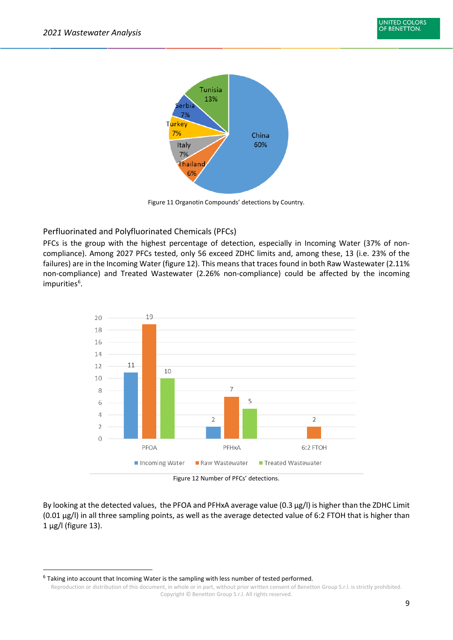

Figure 11 Organotin Compounds' detections by Country.

#### <span id="page-9-0"></span>Perfluorinated and Polyfluorinated Chemicals (PFCs)

PFCs is the group with the highest percentage of detection, especially in Incoming Water (37% of noncompliance). Among 2027 PFCs tested, only 56 exceed ZDHC limits and, among these, 13 (i.e. 23% of the failures) are in the Incoming Water (figure 12). This means that traces found in both Raw Wastewater (2.11% non-compliance) and Treated Wastewater (2.26% non-compliance) could be affected by the incoming impurities<sup>[6](#page-9-1)</sup>.



Figure 12 Number of PFCs' detections.

By looking at the detected values, the PFOA and PFHxA average value (0.3 µg/l) is higher than the ZDHC Limit (0.01 µg/l) in all three sampling points, as well as the average detected value of 6:2 FTOH that is higher than 1 µg/l (figure 13).

<span id="page-9-1"></span> $6$  Taking into account that Incoming Water is the sampling with less number of tested performed.

Reproduction or distribution of this document, in whole or in part, without prior written consent of Benetton Group S.r.l. is strictly prohibited. Copyright © Benetton Group S.r.l. All rights reserved.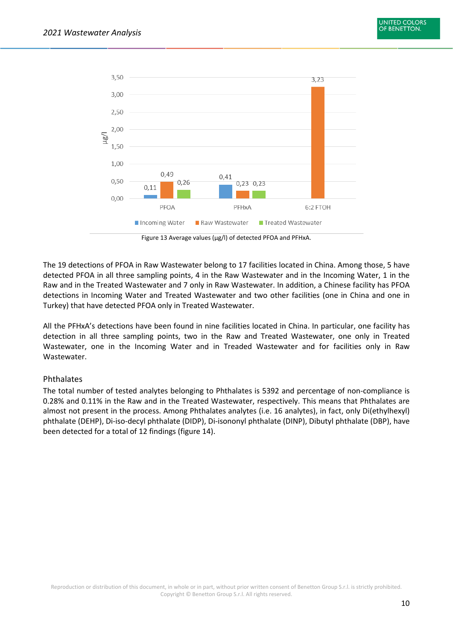

Figure 13 Average values (µg/l) of detected PFOA and PFHxA.

The 19 detections of PFOA in Raw Wastewater belong to 17 facilities located in China. Among those, 5 have detected PFOA in all three sampling points, 4 in the Raw Wastewater and in the Incoming Water, 1 in the Raw and in the Treated Wastewater and 7 only in Raw Wastewater. In addition, a Chinese facility has PFOA detections in Incoming Water and Treated Wastewater and two other facilities (one in China and one in Turkey) that have detected PFOA only in Treated Wastewater.

All the PFHxA's detections have been found in nine facilities located in China. In particular, one facility has detection in all three sampling points, two in the Raw and Treated Wastewater, one only in Treated Wastewater, one in the Incoming Water and in Treaded Wastewater and for facilities only in Raw Wastewater.

#### <span id="page-10-0"></span>Phthalates

The total number of tested analytes belonging to Phthalates is 5392 and percentage of non-compliance is 0.28% and 0.11% in the Raw and in the Treated Wastewater, respectively. This means that Phthalates are almost not present in the process. Among Phthalates analytes (i.e. 16 analytes), in fact, only Di(ethylhexyl) phthalate (DEHP), Di-iso-decyl phthalate (DIDP), Di-isononyl phthalate (DINP), Dibutyl phthalate (DBP), have been detected for a total of 12 findings (figure 14).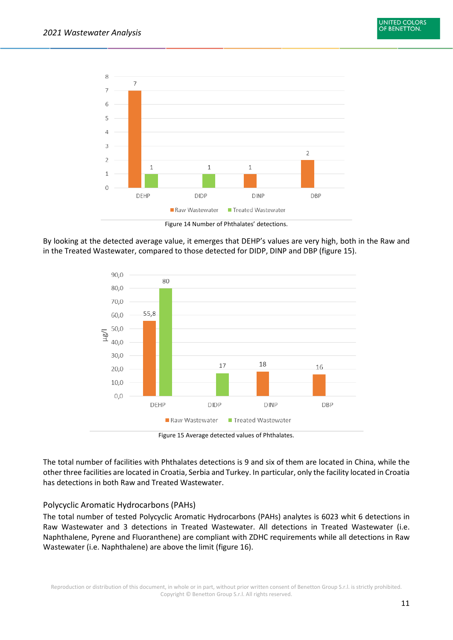

Figure 14 Number of Phthalates' detections.

By looking at the detected average value, it emerges that DEHP's values are very high, both in the Raw and in the Treated Wastewater, compared to those detected for DIDP, DINP and DBP (figure 15).



Figure 15 Average detected values of Phthalates.

The total number of facilities with Phthalates detections is 9 and six of them are located in China, while the other three facilities are located in Croatia, Serbia and Turkey. In particular, only the facility located in Croatia has detections in both Raw and Treated Wastewater.

#### <span id="page-11-0"></span>Polycyclic Aromatic Hydrocarbons (PAHs)

The total number of tested Polycyclic Aromatic Hydrocarbons (PAHs) analytes is 6023 whit 6 detections in Raw Wastewater and 3 detections in Treated Wastewater. All detections in Treated Wastewater (i.e. Naphthalene, Pyrene and Fluoranthene) are compliant with ZDHC requirements while all detections in Raw Wastewater (i.e. Naphthalene) are above the limit (figure 16).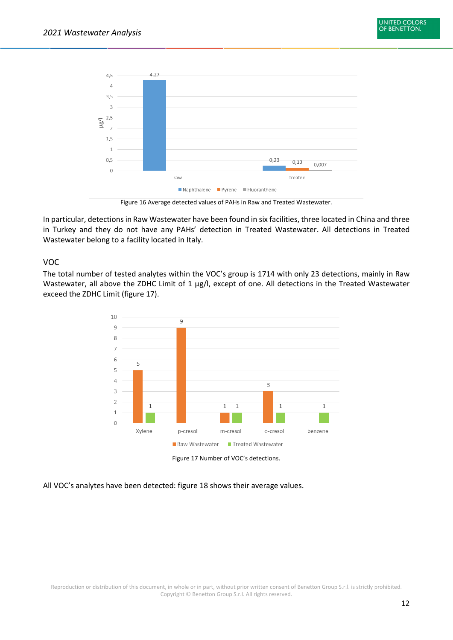

Figure 16 Average detected values of PAHs in Raw and Treated Wastewater.

In particular, detections in Raw Wastewater have been found in six facilities, three located in China and three in Turkey and they do not have any PAHs' detection in Treated Wastewater. All detections in Treated Wastewater belong to a facility located in Italy.

#### <span id="page-12-0"></span>VOC

The total number of tested analytes within the VOC's group is 1714 with only 23 detections, mainly in Raw Wastewater, all above the ZDHC Limit of 1 µg/l, except of one. All detections in the Treated Wastewater exceed the ZDHC Limit (figure 17).



All VOC's analytes have been detected: figure 18 shows their average values.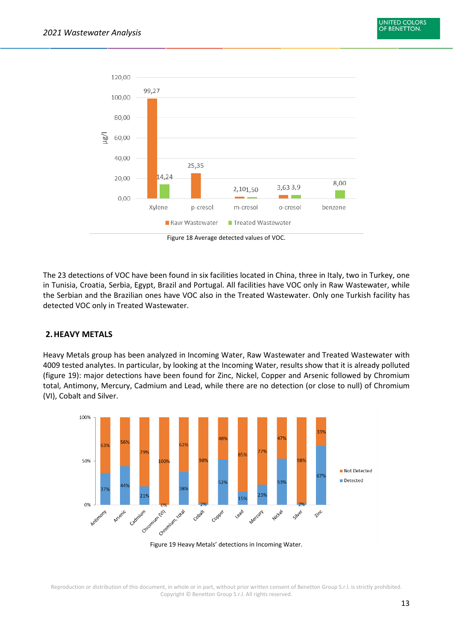

The 23 detections of VOC have been found in six facilities located in China, three in Italy, two in Turkey, one in Tunisia, Croatia, Serbia, Egypt, Brazil and Portugal. All facilities have VOC only in Raw Wastewater, while the Serbian and the Brazilian ones have VOC also in the Treated Wastewater. Only one Turkish facility has detected VOC only in Treated Wastewater.

#### <span id="page-13-0"></span>**2.HEAVY METALS**

Heavy Metals group has been analyzed in Incoming Water, Raw Wastewater and Treated Wastewater with 4009 tested analytes. In particular, by looking at the Incoming Water, results show that it is already polluted (figure 19): major detections have been found for Zinc, Nickel, Copper and Arsenic followed by Chromium total, Antimony, Mercury, Cadmium and Lead, while there are no detection (or close to null) of Chromium (VI), Cobalt and Silver.

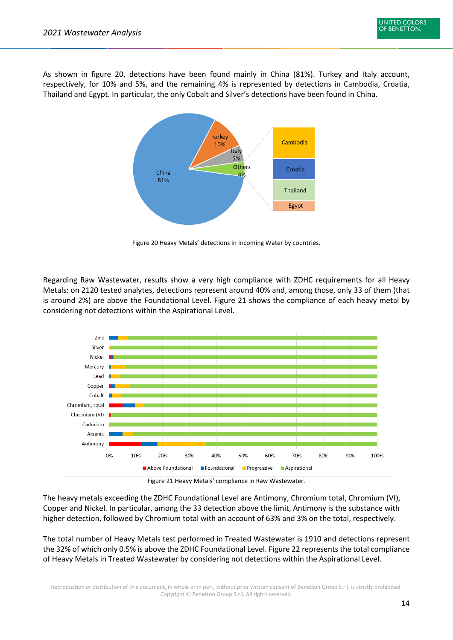As shown in figure 20, detections have been found mainly in China (81%). Turkey and Italy account, respectively, for 10% and 5%, and the remaining 4% is represented by detections in Cambodia, Croatia, Thailand and Egypt. In particular, the only Cobalt and Silver's detections have been found in China.



Figure 20 Heavy Metals' detections in Incoming Water by countries.

Regarding Raw Wastewater, results show a very high compliance with ZDHC requirements for all Heavy Metals: on 2120 tested analytes, detections represent around 40% and, among those, only 33 of them (that is around 2%) are above the Foundational Level. Figure 21 shows the compliance of each heavy metal by considering not detections within the Aspirational Level.



Figure 21 Heavy Metals' compliance in Raw Wastewater.

The heavy metals exceeding the ZDHC Foundational Level are Antimony, Chromium total, Chromium (VI), Copper and Nickel. In particular, among the 33 detection above the limit, Antimony is the substance with higher detection, followed by Chromium total with an account of 63% and 3% on the total, respectively.

The total number of Heavy Metals test performed in Treated Wastewater is 1910 and detections represent the 32% of which only 0.5% is above the ZDHC Foundational Level. Figure 22 represents the total compliance of Heavy Metals in Treated Wastewater by considering not detections within the Aspirational Level.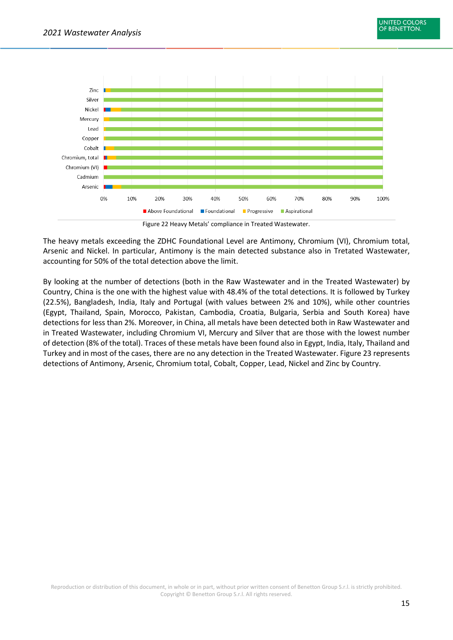

Figure 22 Heavy Metals' compliance in Treated Wastewater.

The heavy metals exceeding the ZDHC Foundational Level are Antimony, Chromium (VI), Chromium total, Arsenic and Nickel. In particular, Antimony is the main detected substance also in Tretated Wastewater, accounting for 50% of the total detection above the limit.

By looking at the number of detections (both in the Raw Wastewater and in the Treated Wastewater) by Country, China is the one with the highest value with 48.4% of the total detections. It is followed by Turkey (22.5%), Bangladesh, India, Italy and Portugal (with values between 2% and 10%), while other countries (Egypt, Thailand, Spain, Morocco, Pakistan, Cambodia, Croatia, Bulgaria, Serbia and South Korea) have detections for less than 2%. Moreover, in China, all metals have been detected both in Raw Wastewater and in Treated Wastewater, including Chromium VI, Mercury and Silver that are those with the lowest number of detection (8% of the total). Traces of these metals have been found also in Egypt, India, Italy, Thailand and Turkey and in most of the cases, there are no any detection in the Treated Wastewater. Figure 23 represents detections of Antimony, Arsenic, Chromium total, Cobalt, Copper, Lead, Nickel and Zinc by Country.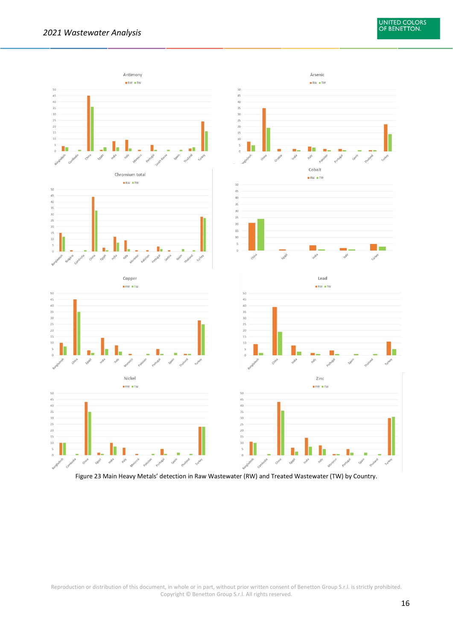

Figure 23 Main Heavy Metals' detection in Raw Wastewater (RW) and Treated Wastewater (TW) by Country.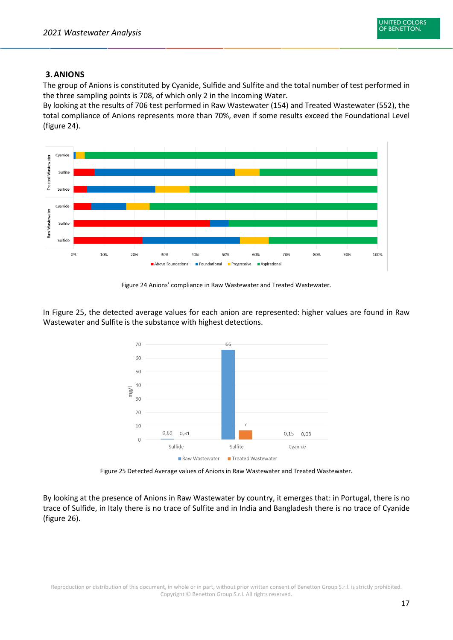

#### <span id="page-17-0"></span>**3.ANIONS**

The group of Anions is constituted by Cyanide, Sulfide and Sulfite and the total number of test performed in the three sampling points is 708, of which only 2 in the Incoming Water.

By looking at the results of 706 test performed in Raw Wastewater (154) and Treated Wastewater (552), the total compliance of Anions represents more than 70%, even if some results exceed the Foundational Level (figure 24).



Figure 24 Anions' compliance in Raw Wastewater and Treated Wastewater.

In Figure 25, the detected average values for each anion are represented: higher values are found in Raw Wastewater and Sulfite is the substance with highest detections.



Figure 25 Detected Average values of Anions in Raw Wastewater and Treated Wastewater.

By looking at the presence of Anions in Raw Wastewater by country, it emerges that: in Portugal, there is no trace of Sulfide, in Italy there is no trace of Sulfite and in India and Bangladesh there is no trace of Cyanide (figure 26).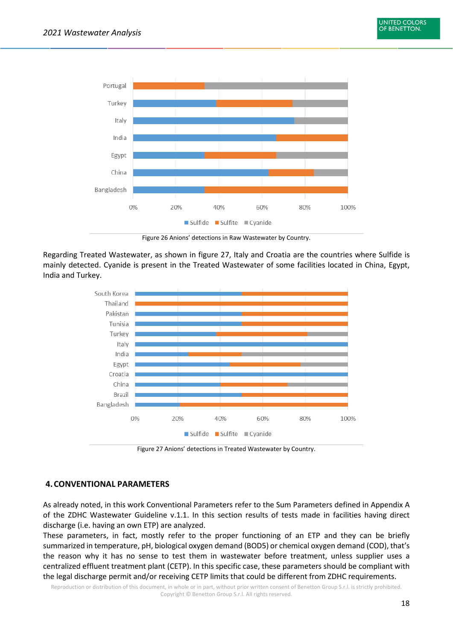

Figure 26 Anions' detections in Raw Wastewater by Country.

Regarding Treated Wastewater, as shown in figure 27, Italy and Croatia are the countries where Sulfide is mainly detected. Cyanide is present in the Treated Wastewater of some facilities located in China, Egypt, India and Turkey.



Figure 27 Anions' detections in Treated Wastewater by Country.

#### <span id="page-18-0"></span>**4.CONVENTIONAL PARAMETERS**

As already noted, in this work Conventional Parameters refer to the Sum Parameters defined in Appendix A of the ZDHC Wastewater Guideline v.1.1. In this section results of tests made in facilities having direct discharge (i.e. having an own ETP) are analyzed.

These parameters, in fact, mostly refer to the proper functioning of an ETP and they can be briefly summarized in temperature, pH, biological oxygen demand (BOD5) or chemical oxygen demand (COD), that's the reason why it has no sense to test them in wastewater before treatment, unless supplier uses a centralized effluent treatment plant (CETP). In this specific case, these parameters should be compliant with the legal discharge permit and/or receiving CETP limits that could be different from ZDHC requirements.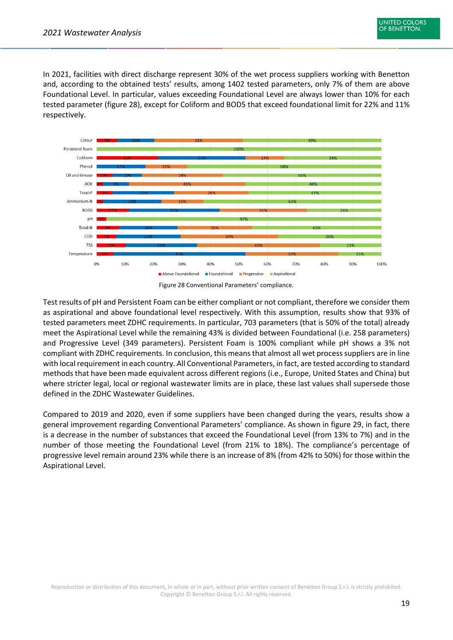In 2021, facilities with direct discharge represent 30% of the wet process suppliers working with Benetton and, according to the obtained tests' results, among 1402 tested parameters, only 7% of them are above Foundational Level. In particular, values exceeding Foundational Level are always lower than 10% for each tested parameter (figure 28), except for Coliform and BOD5 that exceed foundational limit for 22% and 11% respectively.





Test results of pH and Persistent Foam can be either compliant or not compliant, therefore we consider them as aspirational and above foundational level respectively. With this assumption, results show that 93% of tested parameters meet ZDHC requirements. In particular, 703 parameters (that is 50% of the total) already meet the Aspirational Level while the remaining 43% is divided between Foundational (i.e. 258 parameters) and Progressive Level (349 parameters). Persistent Foam is 100% compliant while pH shows a 3% not compliant with ZDHC requirements. In conclusion, this means that almost all wet process suppliers are in line with local requirement in each country. All Conventional Parameters, in fact, are tested according to standard methods that have been made equivalent across different regions (i.e., Europe, United States and China) but where stricter legal, local or regional wastewater limits are in place, these last values shall supersede those defined in the ZDHC Wastewater Guidelines.

Compared to 2019 and 2020, even if some suppliers have been changed during the years, results show a general improvement regarding Conventional Parameters' compliance. As shown in figure 29, in fact, there is a decrease in the number of substances that exceed the Foundational Level (from 13% to 7%) and in the number of those meeting the Foundational Level (from 21% to 18%). The compliance's percentage of progressive level remain around 23% while there is an increase of 8% (from 42% to 50%) for those within the Aspirational Level.